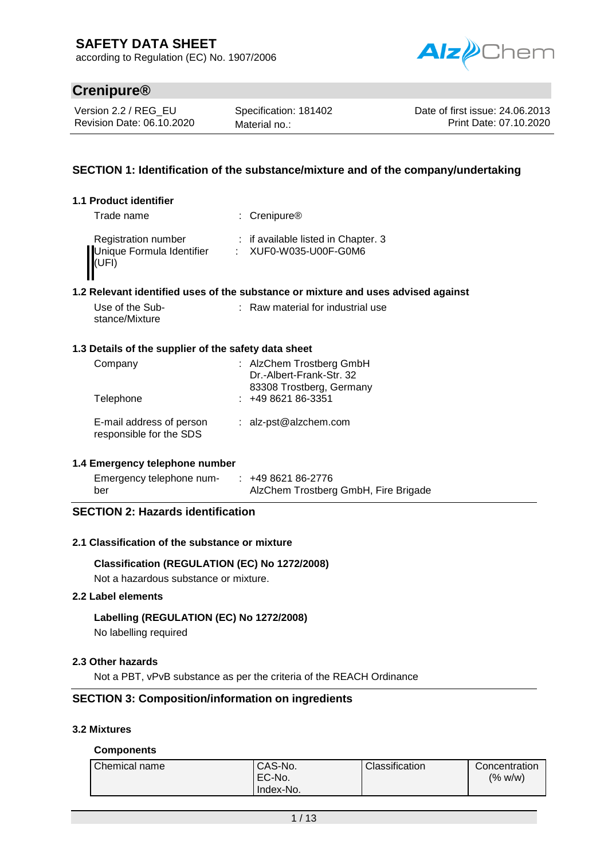according to Regulation (EC) No. 1907/2006



# **Crenipure®**

Version 2.2 / REG\_EU Revision Date: 06.10.2020 Specification: 181402 Material no.:

Date of first issue: 24.06.2013 Print Date: 07.10.2020

### **SECTION 1: Identification of the substance/mixture and of the company/undertaking**

### **1.1 Product identifier**

| Trade name                         | : Crenipure <sup>®</sup>            |
|------------------------------------|-------------------------------------|
| <b>Registration number</b>         | : if available listed in Chapter. 3 |
| Unique Formula Identifier<br>(UFI) | : XUF0-W035-U00F-G0M6               |

### **1.2 Relevant identified uses of the substance or mixture and uses advised against**

| Use of the Sub- | : Raw material for industrial use |
|-----------------|-----------------------------------|
| stance/Mixture  |                                   |

### **1.3 Details of the supplier of the safety data sheet**

| Company<br>Telephone                                | : AlzChem Trostberg GmbH<br>Dr.-Albert-Frank-Str. 32<br>83308 Trostberg, Germany<br>$: 49862186-3351$ |
|-----------------------------------------------------|-------------------------------------------------------------------------------------------------------|
| E-mail address of person<br>responsible for the SDS | : alz-pst@alzchem.com                                                                                 |

### **1.4 Emergency telephone number**

| Emergency telephone num- | $: 49862186-2776$                    |
|--------------------------|--------------------------------------|
| ber                      | AlzChem Trostberg GmbH, Fire Brigade |

### **SECTION 2: Hazards identification**

### **2.1 Classification of the substance or mixture**

### **Classification (REGULATION (EC) No 1272/2008)**

Not a hazardous substance or mixture.

#### **2.2 Label elements**

### **Labelling (REGULATION (EC) No 1272/2008)**

No labelling required

### **2.3 Other hazards**

Not a PBT, vPvB substance as per the criteria of the REACH Ordinance

### **SECTION 3: Composition/information on ingredients**

#### **3.2 Mixtures**

### **Components**

| Chemical name | CAS-No.<br>EC-No.<br>'Index-No. | Classification | Concentration<br>(% w/w) |
|---------------|---------------------------------|----------------|--------------------------|
|---------------|---------------------------------|----------------|--------------------------|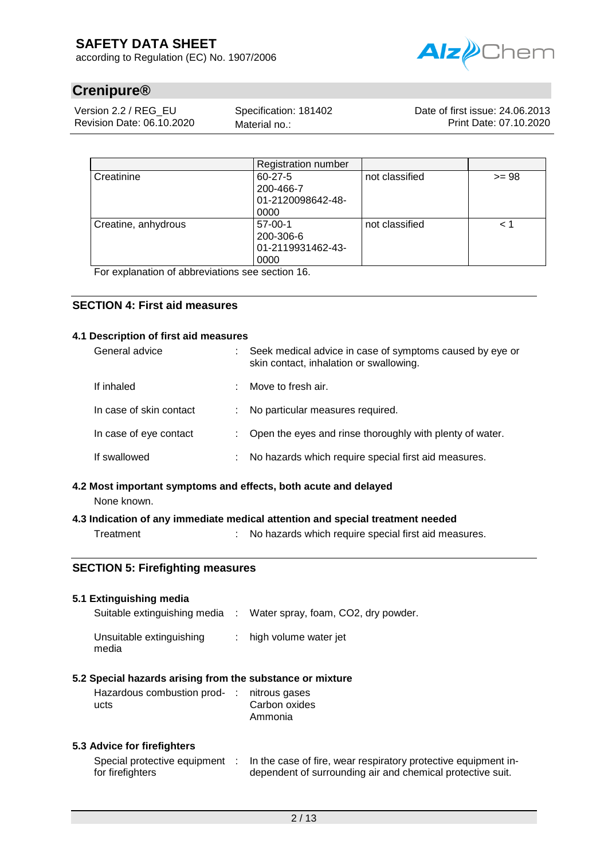according to Regulation (EC) No. 1907/2006



# **Crenipure®**

Version 2.2 / REG\_EU Revision Date: 06.10.2020

Specification: 181402 Material no.:

Date of first issue: 24.06.2013 Print Date: 07.10.2020

|                     | <b>Registration number</b> |                |         |
|---------------------|----------------------------|----------------|---------|
| Creatinine          | 60-27-5                    | not classified | $>= 98$ |
|                     | 200-466-7                  |                |         |
|                     | 01-2120098642-48-          |                |         |
|                     | 0000                       |                |         |
| Creatine, anhydrous | 57-00-1                    | not classified | < 1     |
|                     | 200-306-6                  |                |         |
|                     | 01-2119931462-43-          |                |         |
|                     | 0000                       |                |         |

For explanation of abbreviations see section 16.

### **SECTION 4: First aid measures**

#### **4.1 Description of first aid measures**

| General advice          |    | Seek medical advice in case of symptoms caused by eye or<br>skin contact, inhalation or swallowing. |
|-------------------------|----|-----------------------------------------------------------------------------------------------------|
| If inhaled              | ÷  | Move to fresh air.                                                                                  |
| In case of skin contact | ÷  | No particular measures required.                                                                    |
| In case of eye contact  | t. | Open the eyes and rinse thoroughly with plenty of water.                                            |
| If swallowed            | ÷  | No hazards which require special first aid measures.                                                |

# **4.2 Most important symptoms and effects, both acute and delayed**

None known.

### **4.3 Indication of any immediate medical attention and special treatment needed**

Treatment : No hazards which require special first aid measures.

### **SECTION 5: Firefighting measures**

### **5.1 Extinguishing media**

| Suitable extinguishing media      | Water spray, foam, CO2, dry powder. |
|-----------------------------------|-------------------------------------|
| Unsuitable extinguishing<br>media | $:$ high volume water jet           |

### **5.2 Special hazards arising from the substance or mixture**

| Hazardous combustion prod- : nitrous gases |               |
|--------------------------------------------|---------------|
| ucts                                       | Carbon oxides |
|                                            | Ammonia       |

### **5.3 Advice for firefighters**

| Special protective equipment | In the case of fire, wear respiratory protective equipment in- |
|------------------------------|----------------------------------------------------------------|
| for firefighters             | dependent of surrounding air and chemical protective suit.     |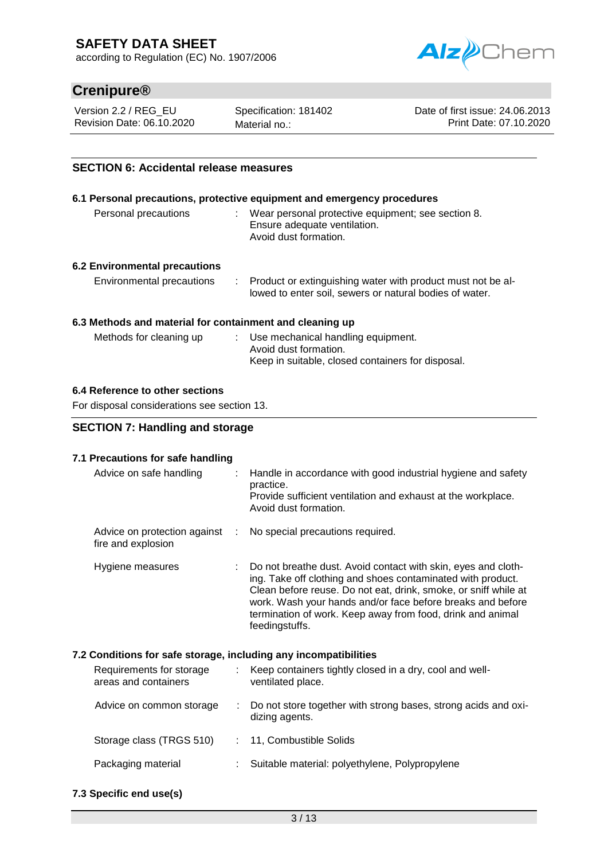according to Regulation (EC) No. 1907/2006



# **Crenipure®**

Version 2.2 / REG\_EU Revision Date: 06.10.2020

Specification: 181402 Material no.:

Date of first issue: 24.06.2013 Print Date: 07.10.2020

### **SECTION 6: Accidental release measures**

# **6.1 Personal precautions, protective equipment and emergency procedures** Personal precautions : Wear personal protective equipment; see section 8. Ensure adequate ventilation. Avoid dust formation.

### **6.2 Environmental precautions**

| Environmental precautions | Product or extinguishing water with product must not be al- |
|---------------------------|-------------------------------------------------------------|
|                           | lowed to enter soil, sewers or natural bodies of water.     |

#### **6.3 Methods and material for containment and cleaning up**

| Methods for cleaning up | Use mechanical handling equipment.                |
|-------------------------|---------------------------------------------------|
|                         | Avoid dust formation.                             |
|                         | Keep in suitable, closed containers for disposal. |

### **6.4 Reference to other sections**

For disposal considerations see section 13.

### **SECTION 7: Handling and storage**

### **7.1 Precautions for safe handling**

| Advice on safe handling                            |    | : Handle in accordance with good industrial hygiene and safety<br>practice.<br>Provide sufficient ventilation and exhaust at the workplace.<br>Avoid dust formation.                                                                                                                                                                            |
|----------------------------------------------------|----|-------------------------------------------------------------------------------------------------------------------------------------------------------------------------------------------------------------------------------------------------------------------------------------------------------------------------------------------------|
| Advice on protection against<br>fire and explosion | d. | No special precautions required.                                                                                                                                                                                                                                                                                                                |
| Hygiene measures                                   |    | : Do not breathe dust. Avoid contact with skin, eyes and cloth-<br>ing. Take off clothing and shoes contaminated with product.<br>Clean before reuse. Do not eat, drink, smoke, or sniff while at<br>work. Wash your hands and/or face before breaks and before<br>termination of work. Keep away from food, drink and animal<br>feedingstuffs. |

### **7.2 Conditions for safe storage, including any incompatibilities**

| Requirements for storage<br>areas and containers | Keep containers tightly closed in a dry, cool and well-<br>ventilated place.       |
|--------------------------------------------------|------------------------------------------------------------------------------------|
| Advice on common storage                         | : Do not store together with strong bases, strong acids and oxi-<br>dizing agents. |
| Storage class (TRGS 510)                         | : 11, Combustible Solids                                                           |
| Packaging material                               | Suitable material: polyethylene, Polypropylene                                     |
|                                                  |                                                                                    |

**7.3 Specific end use(s)**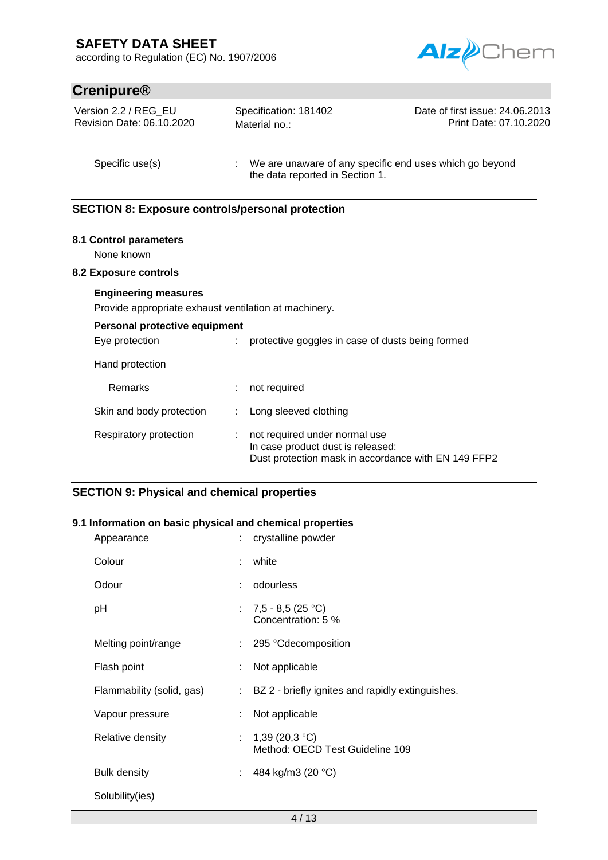according to Regulation (EC) No. 1907/2006



# **Crenipure®**

| Version 2.2 / REG EU      |  |
|---------------------------|--|
| Revision Date: 06.10.2020 |  |

Specification: 181402 Material no.:

Date of first issue: 24.06.2013 Print Date: 07.10.2020

Specific use(s) : We are unaware of any specific end uses which go beyond the data reported in Section 1.

### **SECTION 8: Exposure controls/personal protection**

### **8.1 Control parameters**

None known

#### **8.2 Exposure controls**

#### **Engineering measures**

Provide appropriate exhaust ventilation at machinery.

# **Personal protective equipment** Eye protection : protective goggles in case of dusts being formed Hand protection

| Remarks                  | not required                                                                                                              |
|--------------------------|---------------------------------------------------------------------------------------------------------------------------|
| Skin and body protection | : Long sleeved clothing                                                                                                   |
| Respiratory protection   | not required under normal use<br>In case product dust is released:<br>Dust protection mask in accordance with EN 149 FFP2 |

### **SECTION 9: Physical and chemical properties**

### **9.1 Information on basic physical and chemical properties**

|    | : crystalline powder                                 |
|----|------------------------------------------------------|
| ÷  | white                                                |
| ÷. | odourless                                            |
|    | : $7,5 - 8,5 (25 °C)$<br>Concentration: 5 %          |
|    | : 295 °Cdecomposition                                |
|    | Not applicable                                       |
| t. | BZ 2 - briefly ignites and rapidly extinguishes.     |
|    | Not applicable                                       |
|    | : $1,39(20,3 °C)$<br>Method: OECD Test Guideline 109 |
|    | : 484 kg/m3 (20 $^{\circ}$ C)                        |
|    |                                                      |
|    |                                                      |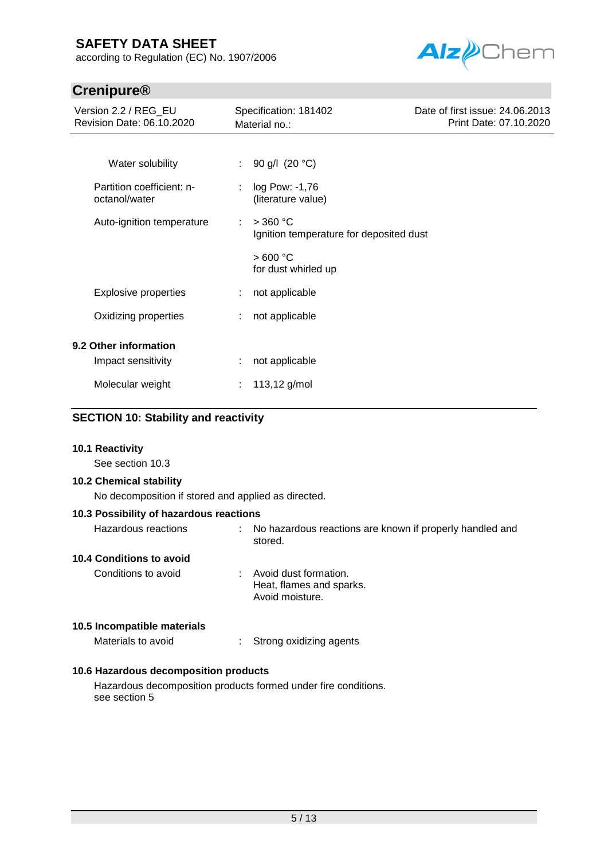according to Regulation (EC) No. 1907/2006



# **Crenipure®**

| Version 2.2 / REG_EU<br>Revision Date: 06.10.2020 | Specification: 181402<br>Material no.:                     | Date of first issue: 24.06.2013<br>Print Date: 07.10.2020 |
|---------------------------------------------------|------------------------------------------------------------|-----------------------------------------------------------|
| Water solubility                                  | : 90 g/l $(20 °C)$                                         |                                                           |
| Partition coefficient: n-<br>octanol/water        | log Pow: -1,76<br>(literature value)                       |                                                           |
| Auto-ignition temperature                         | $>$ 360 °C<br>÷<br>Ignition temperature for deposited dust |                                                           |
|                                                   | >600 °C<br>for dust whirled up                             |                                                           |
| <b>Explosive properties</b>                       | not applicable                                             |                                                           |
| Oxidizing properties                              | not applicable                                             |                                                           |
| 9.2 Other information                             |                                                            |                                                           |
| Impact sensitivity                                | not applicable                                             |                                                           |
| Molecular weight                                  | 113,12 g/mol                                               |                                                           |

### **SECTION 10: Stability and reactivity**

### **10.1 Reactivity**

See section 10.3

### **10.2 Chemical stability**

No decomposition if stored and applied as directed.

### **10.3 Possibility of hazardous reactions**

| Hazardous reactions         | No hazardous reactions are known if properly handled and<br>÷.<br>stored. |
|-----------------------------|---------------------------------------------------------------------------|
| 10.4 Conditions to avoid    |                                                                           |
| Conditions to avoid         | Avoid dust formation.<br>Heat, flames and sparks.<br>Avoid moisture.      |
| 10.5 Incompatible materials |                                                                           |
| Materials to avoid          | Strong oxidizing agents                                                   |

### **10.6 Hazardous decomposition products**

Hazardous decomposition products formed under fire conditions. see section 5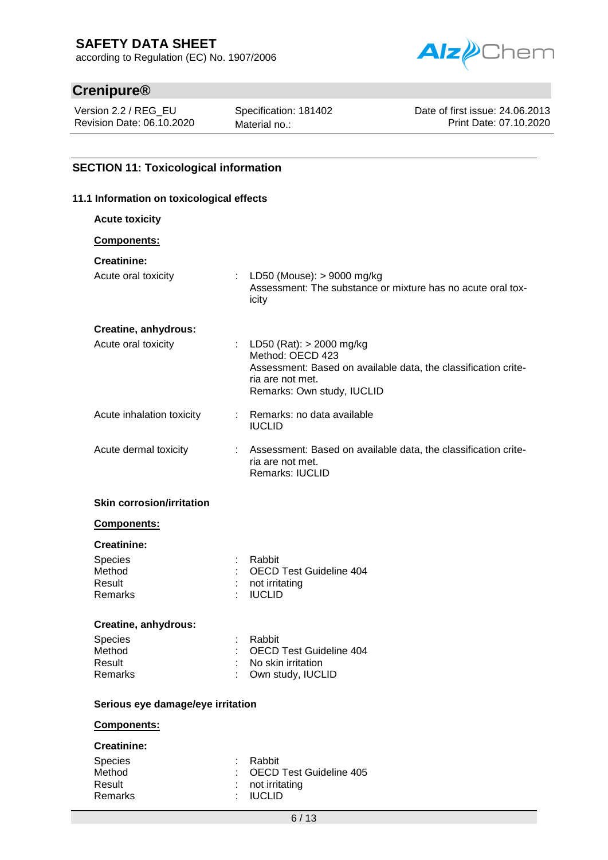according to Regulation (EC) No. 1907/2006



# **Crenipure®**

Version 2.2 / REG\_EU Revision Date: 06.10.2020 Specification: 181402 Material no.:

Date of first issue: 24.06.2013 Print Date: 07.10.2020

### **SECTION 11: Toxicological information**

#### **11.1 Information on toxicological effects**

| <b>Acute toxicity</b>             |                                                                                                                                                                      |  |
|-----------------------------------|----------------------------------------------------------------------------------------------------------------------------------------------------------------------|--|
| Components:                       |                                                                                                                                                                      |  |
| <b>Creatinine:</b>                |                                                                                                                                                                      |  |
| Acute oral toxicity               | : LD50 (Mouse): $> 9000$ mg/kg<br>Assessment: The substance or mixture has no acute oral tox-<br>icity                                                               |  |
| Creatine, anhydrous:              |                                                                                                                                                                      |  |
| Acute oral toxicity               | : LD50 (Rat): $>$ 2000 mg/kg<br>Method: OECD 423<br>Assessment: Based on available data, the classification crite-<br>ria are not met.<br>Remarks: Own study, IUCLID |  |
| Acute inhalation toxicity         | : Remarks: no data available<br><b>IUCLID</b>                                                                                                                        |  |
| Acute dermal toxicity             | Assessment: Based on available data, the classification crite-<br>ria are not met.<br>Remarks: IUCLID                                                                |  |
| <b>Skin corrosion/irritation</b>  |                                                                                                                                                                      |  |
| Components:                       |                                                                                                                                                                      |  |
| <b>Creatinine:</b>                |                                                                                                                                                                      |  |
| Species<br>Method                 | Rabbit<br><b>OECD Test Guideline 404</b>                                                                                                                             |  |
| Result                            | not irritating                                                                                                                                                       |  |
| Remarks                           | <b>IUCLID</b>                                                                                                                                                        |  |
| Creatine, anhydrous:              |                                                                                                                                                                      |  |
| <b>Species</b><br>Method          | Rabbit<br><b>OECD Test Guideline 404</b>                                                                                                                             |  |
| Result                            | No skin irritation                                                                                                                                                   |  |
| Remarks                           | Own study, IUCLID                                                                                                                                                    |  |
| Serious eye damage/eye irritation |                                                                                                                                                                      |  |
| Components:                       |                                                                                                                                                                      |  |
| <b>Creatinine:</b>                |                                                                                                                                                                      |  |
| Species<br>Method                 | Rabbit<br><b>OECD Test Guideline 405</b>                                                                                                                             |  |
| Result                            | not irritating                                                                                                                                                       |  |
| Remarks                           | <b>IUCLID</b>                                                                                                                                                        |  |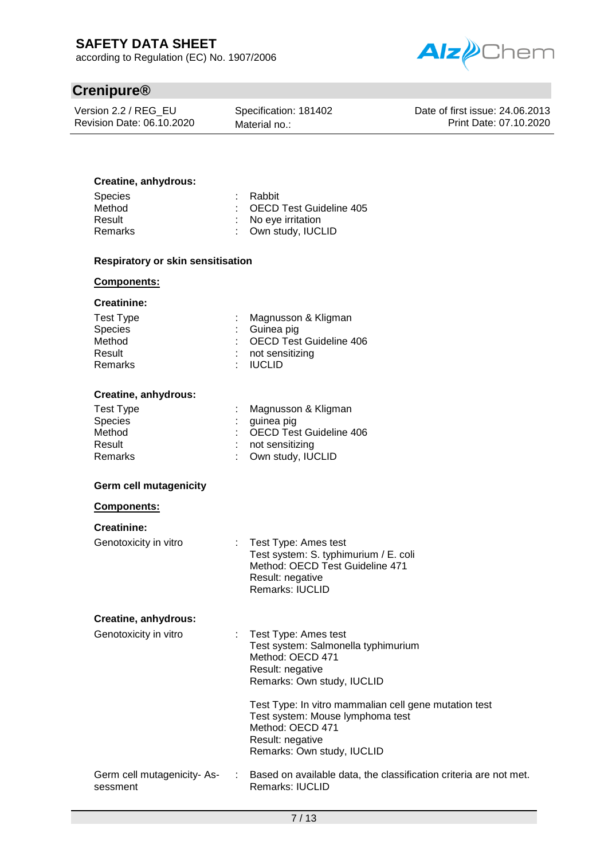according to Regulation (EC) No. 1907/2006



# **Crenipure®**

Version 2.2 / REG\_EU Revision Date: 06.10.2020 Specification: 181402 Material no.:

Date of first issue: 24.06.2013 Print Date: 07.10.2020

### **Creatine, anhydrous:**

| : Rabbit                  |
|---------------------------|
| : OECD Test Guideline 405 |
| : No eye irritation       |
| : Own study, IUCLID       |
|                           |

### **Respiratory or skin sensitisation**

#### **Components:**

#### **Creatinine:**

| Test Type | : Magnusson & Kligman     |
|-----------|---------------------------|
| Species   | : Guinea pig              |
| Method    | : OECD Test Guideline 406 |
| Result    | : not sensitizing         |
| Remarks   | : IUCLID                  |

#### **Creatine, anhydrous:**

| Test Type      | : Magnusson & Kligman     |
|----------------|---------------------------|
| <b>Species</b> | $:$ guinea pig            |
| Method         | : OECD Test Guideline 406 |
| Result         | $:$ not sensitizing       |
| Remarks        | : Own study, IUCLID       |
|                |                           |

#### **Germ cell mutagenicity**

#### **Components:**

### **Creatinine:**

Genotoxicity in vitro : Test Type: Ames test Test system: S. typhimurium / E. coli Method: OECD Test Guideline 471 Result: negative Remarks: IUCLID

#### **Creatine, anhydrous:**

| Genotoxicity in vitro                   | : Test Type: Ames test<br>Test system: Salmonella typhimurium<br>Method: OECD 471<br>Result: negative<br>Remarks: Own study, IUCLID                             |
|-----------------------------------------|-----------------------------------------------------------------------------------------------------------------------------------------------------------------|
|                                         | Test Type: In vitro mammalian cell gene mutation test<br>Test system: Mouse lymphoma test<br>Method: OECD 471<br>Result: negative<br>Remarks: Own study, IUCLID |
| Germ cell mutagenicity- As-<br>sessment | Based on available data, the classification criteria are not met.<br><b>Remarks: IUCLID</b>                                                                     |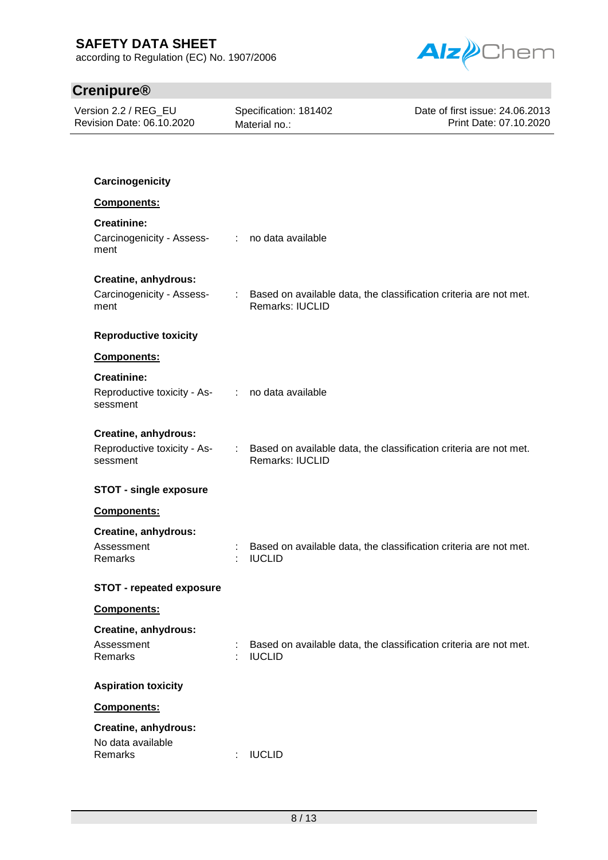according to Regulation (EC) No. 1907/2006



# **Crenipure®**

| Version 2.2 / REG_EU<br>Revision Date: 06.10.2020                                 |               | Specification: 181402<br>Material no.: | Date of first issue: 24.06.2013<br>Print Date: 07.10.2020         |
|-----------------------------------------------------------------------------------|---------------|----------------------------------------|-------------------------------------------------------------------|
|                                                                                   |               |                                        |                                                                   |
| Carcinogenicity                                                                   |               |                                        |                                                                   |
| Components:                                                                       |               |                                        |                                                                   |
| <b>Creatinine:</b><br>Carcinogenicity - Assess- : no data available<br>ment       |               |                                        |                                                                   |
| Creatine, anhydrous:                                                              |               |                                        |                                                                   |
| Carcinogenicity - Assess-<br>ment                                                 | $\mathcal{L}$ | <b>Remarks: IUCLID</b>                 | Based on available data, the classification criteria are not met. |
| <b>Reproductive toxicity</b>                                                      |               |                                        |                                                                   |
| Components:                                                                       |               |                                        |                                                                   |
| <b>Creatinine:</b><br>Reproductive toxicity - As- : no data available<br>sessment |               |                                        |                                                                   |
|                                                                                   |               |                                        |                                                                   |
| Creatine, anhydrous:<br>Reproductive toxicity - As-<br>sessment                   |               | Remarks: IUCLID                        | Based on available data, the classification criteria are not met. |
| <b>STOT - single exposure</b>                                                     |               |                                        |                                                                   |
| Components:                                                                       |               |                                        |                                                                   |
| Creatine, anhydrous:<br>Assessment<br>Remarks                                     |               | <b>IUCLID</b>                          | Based on available data, the classification criteria are not met. |
| <b>STOT - repeated exposure</b>                                                   |               |                                        |                                                                   |
| Components:                                                                       |               |                                        |                                                                   |
| Creatine, anhydrous:                                                              |               |                                        |                                                                   |
| Assessment<br>Remarks                                                             |               | <b>IUCLID</b>                          | Based on available data, the classification criteria are not met. |
| <b>Aspiration toxicity</b>                                                        |               |                                        |                                                                   |
| Components:                                                                       |               |                                        |                                                                   |
| Creatine, anhydrous:<br>No data available<br>Remarks                              |               | <b>IUCLID</b>                          |                                                                   |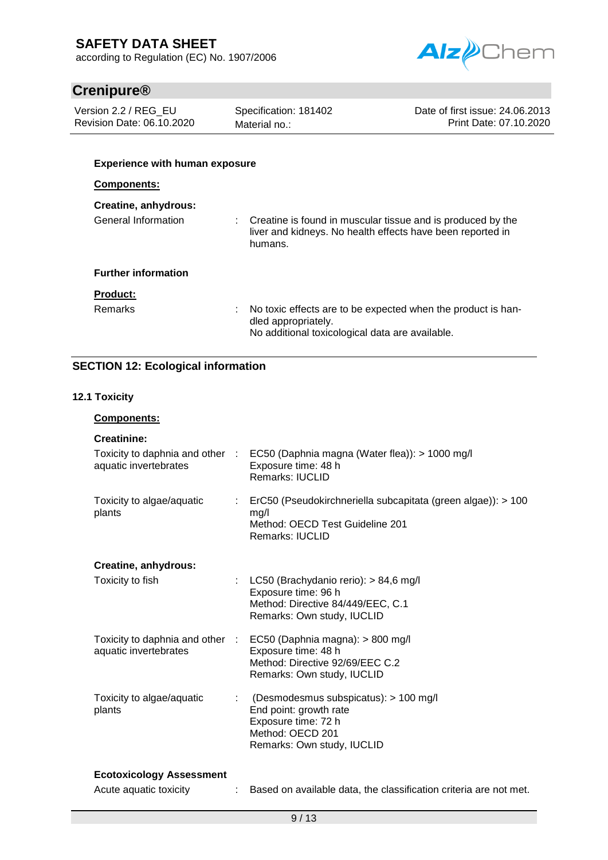according to Regulation (EC) No. 1907/2006



# **Crenipure®**

Version 2.2 / REG\_EU Revision Date: 06.10.2020 Specification: 181402 Material no.:

Date of first issue: 24.06.2013 Print Date: 07.10.2020

### **Experience with human exposure**

### **Components:**

| Creatine, anhydrous:       |                                                                                                                                        |
|----------------------------|----------------------------------------------------------------------------------------------------------------------------------------|
| General Information        | Creatine is found in muscular tissue and is produced by the<br>liver and kidneys. No health effects have been reported in<br>humans.   |
| <b>Further information</b> |                                                                                                                                        |
| <b>Product:</b>            |                                                                                                                                        |
| <b>Remarks</b>             | No toxic effects are to be expected when the product is han-<br>dled appropriately.<br>No additional toxicological data are available. |

### **SECTION 12: Ecological information**

### **12.1 Toxicity**

### **Components:**

| <b>Creatinine:</b>                                       |    |                                                                                                                                          |
|----------------------------------------------------------|----|------------------------------------------------------------------------------------------------------------------------------------------|
| Toxicity to daphnia and other :<br>aquatic invertebrates |    | EC50 (Daphnia magna (Water flea)): > 1000 mg/l<br>Exposure time: 48 h<br><b>Remarks: IUCLID</b>                                          |
| Toxicity to algae/aquatic<br>plants                      |    | ErC50 (Pseudokirchneriella subcapitata (green algae)): > 100<br>mg/l<br>Method: OECD Test Guideline 201<br>Remarks: IUCLID               |
| Creatine, anhydrous:                                     |    |                                                                                                                                          |
| Toxicity to fish                                         | t. | LC50 (Brachydanio rerio): > 84,6 mg/l<br>Exposure time: 96 h<br>Method: Directive 84/449/EEC, C.1<br>Remarks: Own study, IUCLID          |
| Toxicity to daphnia and other :<br>aquatic invertebrates |    | EC50 (Daphnia magna): > 800 mg/l<br>Exposure time: 48 h<br>Method: Directive 92/69/EEC C.2<br>Remarks: Own study, IUCLID                 |
| Toxicity to algae/aquatic<br>plants                      | ÷  | (Desmodesmus subspicatus): > 100 mg/l<br>End point: growth rate<br>Exposure time: 72 h<br>Method: OECD 201<br>Remarks: Own study, IUCLID |
| <b>Ecotoxicology Assessment</b>                          |    |                                                                                                                                          |

Acute aquatic toxicity : Based on available data, the classification criteria are not met.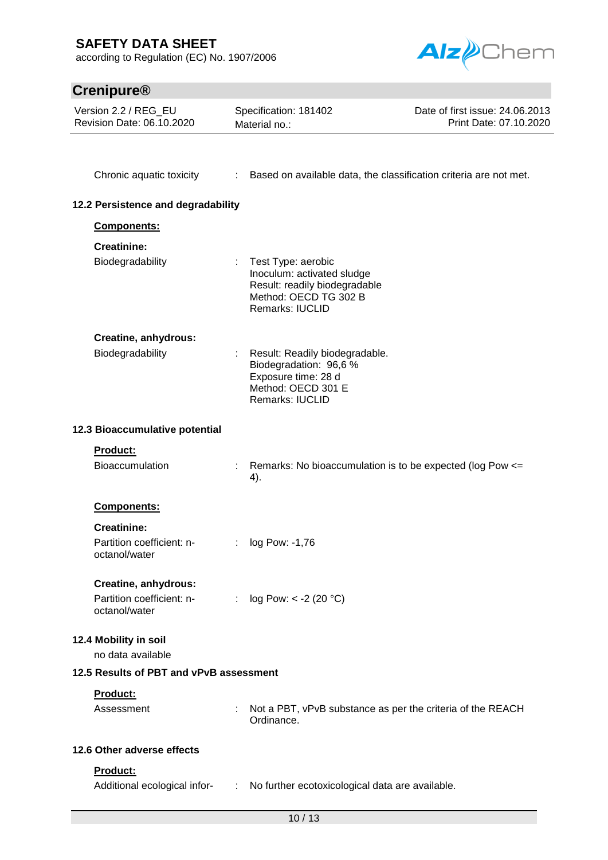according to Regulation (EC) No. 1907/2006



| <b>Crenipure®</b>                                                  |                |                                                                                                                               |                                                           |
|--------------------------------------------------------------------|----------------|-------------------------------------------------------------------------------------------------------------------------------|-----------------------------------------------------------|
| Version 2.2 / REG_EU<br>Revision Date: 06.10.2020                  |                | Specification: 181402<br>Material no.:                                                                                        | Date of first issue: 24.06.2013<br>Print Date: 07.10.2020 |
| Chronic aquatic toxicity                                           |                | : Based on available data, the classification criteria are not met.                                                           |                                                           |
| 12.2 Persistence and degradability                                 |                |                                                                                                                               |                                                           |
| Components:                                                        |                |                                                                                                                               |                                                           |
| <b>Creatinine:</b><br>Biodegradability                             |                | Test Type: aerobic<br>Inoculum: activated sludge<br>Result: readily biodegradable<br>Method: OECD TG 302 B<br>Remarks: IUCLID |                                                           |
| Creatine, anhydrous:<br>Biodegradability                           |                | Result: Readily biodegradable.<br>Biodegradation: 96,6 %<br>Exposure time: 28 d<br>Method: OECD 301 E<br>Remarks: IUCLID      |                                                           |
| 12.3 Bioaccumulative potential                                     |                |                                                                                                                               |                                                           |
| <b>Product:</b><br><b>Bioaccumulation</b>                          |                | Remarks: No bioaccumulation is to be expected (log Pow <=<br>4).                                                              |                                                           |
| Components:                                                        |                |                                                                                                                               |                                                           |
| <b>Creatinine:</b><br>Partition coefficient: n-<br>octanol/water   |                | log Pow: -1,76                                                                                                                |                                                           |
| Creatine, anhydrous:<br>Partition coefficient: n-<br>octanol/water |                | : $log Pow: < -2 (20 °C)$                                                                                                     |                                                           |
| 12.4 Mobility in soil<br>no data available                         |                |                                                                                                                               |                                                           |
| 12.5 Results of PBT and vPvB assessment                            |                |                                                                                                                               |                                                           |
| Product:<br>Assessment                                             |                | Not a PBT, vPvB substance as per the criteria of the REACH<br>Ordinance.                                                      |                                                           |
| 12.6 Other adverse effects                                         |                |                                                                                                                               |                                                           |
| Product:<br>Additional ecological infor-                           | $\mathbb{Z}^n$ | No further ecotoxicological data are available.                                                                               |                                                           |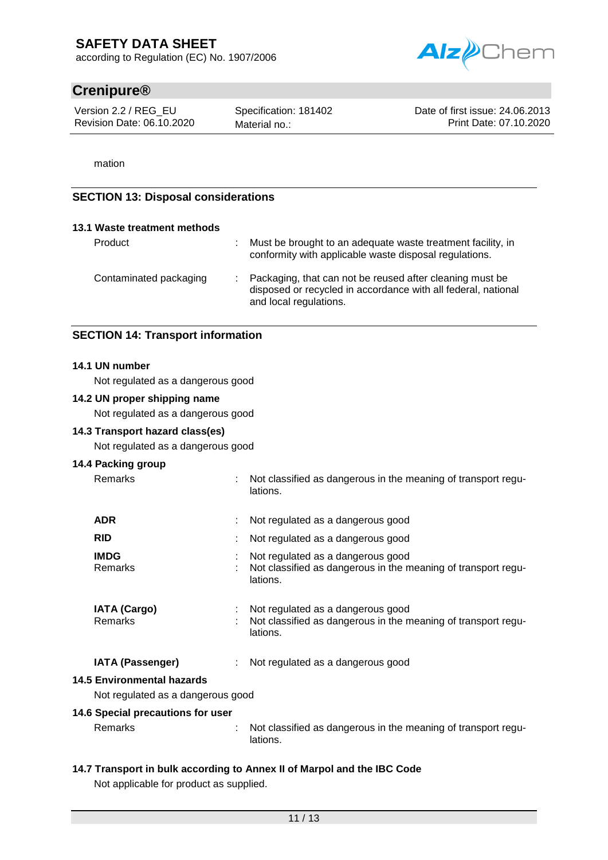according to Regulation (EC) No. 1907/2006



# **Crenipure®**

Version 2.2 / REG\_EU Revision Date: 06.10.2020

Specification: 181402 Material no.:

Date of first issue: 24.06.2013 Print Date: 07.10.2020

mation

### **SECTION 13: Disposal considerations**

| 13.1 Waste treatment methods |                                                                                                                                                       |
|------------------------------|-------------------------------------------------------------------------------------------------------------------------------------------------------|
| Product                      | Must be brought to an adequate waste treatment facility, in<br>conformity with applicable waste disposal regulations.                                 |
| Contaminated packaging       | : Packaging, that can not be reused after cleaning must be<br>disposed or recycled in accordance with all federal, national<br>and local regulations. |

### **SECTION 14: Transport information**

#### **14.1 UN number**

Not regulated as a dangerous good

#### **14.2 UN proper shipping name**

Not regulated as a dangerous good

### **14.3 Transport hazard class(es)**

Not regulated as a dangerous good

### **14.4 Packing group**

Remarks : Not classified as dangerous in the meaning of transport regu-

| <b>ADR</b>                            | Not regulated as a dangerous good                                                                              |
|---------------------------------------|----------------------------------------------------------------------------------------------------------------|
| <b>RID</b>                            | Not regulated as a dangerous good                                                                              |
| <b>IMDG</b><br><b>Remarks</b>         | Not regulated as a dangerous good<br>Not classified as dangerous in the meaning of transport regu-<br>lations. |
| <b>IATA (Cargo)</b><br><b>Remarks</b> | Not regulated as a dangerous good<br>Not classified as dangerous in the meaning of transport regu-<br>lations. |
| <b>IATA (Passenger)</b>               | : Not regulated as a dangerous good                                                                            |
| i Environmental hazards               |                                                                                                                |
| Not rogulated as a departeur good     |                                                                                                                |

lations.

# **14.5 Environmental hazards**

Not regulated as a dangerous good

### **14.6 Special precautions for user**

Remarks : Not classified as dangerous in the meaning of transport regulations.

# **14.7 Transport in bulk according to Annex II of Marpol and the IBC Code**

Not applicable for product as supplied.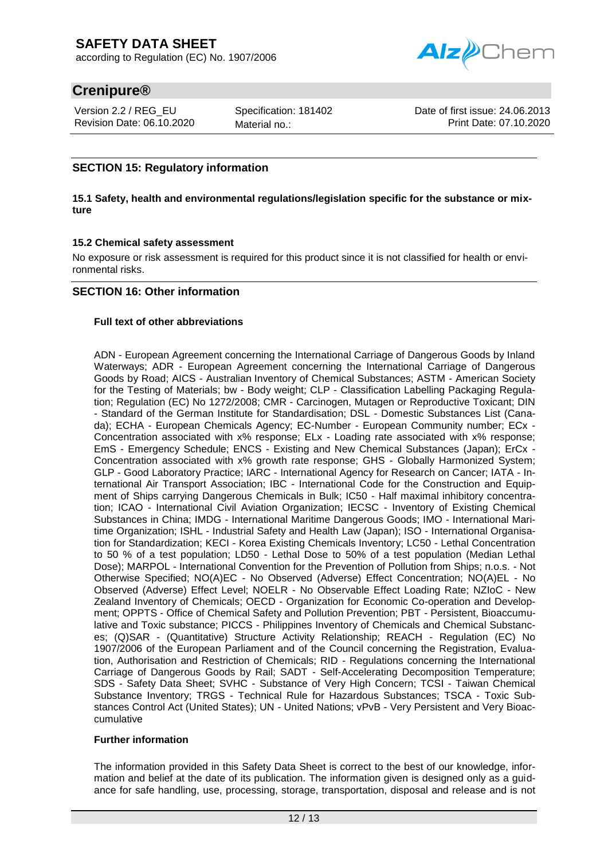

# **Crenipure®**

Version 2.2 / REG\_EU Revision Date: 06.10.2020 Specification: 181402 Material no.:

Date of first issue: 24.06.2013 Print Date: 07.10.2020

### **SECTION 15: Regulatory information**

#### **15.1 Safety, health and environmental regulations/legislation specific for the substance or mixture**

### **15.2 Chemical safety assessment**

No exposure or risk assessment is required for this product since it is not classified for health or environmental risks.

### **SECTION 16: Other information**

### **Full text of other abbreviations**

ADN - European Agreement concerning the International Carriage of Dangerous Goods by Inland Waterways; ADR - European Agreement concerning the International Carriage of Dangerous Goods by Road; AICS - Australian Inventory of Chemical Substances; ASTM - American Society for the Testing of Materials; bw - Body weight; CLP - Classification Labelling Packaging Regulation; Regulation (EC) No 1272/2008; CMR - Carcinogen, Mutagen or Reproductive Toxicant; DIN - Standard of the German Institute for Standardisation; DSL - Domestic Substances List (Canada); ECHA - European Chemicals Agency; EC-Number - European Community number; ECx - Concentration associated with x% response; ELx - Loading rate associated with x% response; EmS - Emergency Schedule; ENCS - Existing and New Chemical Substances (Japan); ErCx - Concentration associated with x% growth rate response; GHS - Globally Harmonized System; GLP - Good Laboratory Practice; IARC - International Agency for Research on Cancer; IATA - International Air Transport Association; IBC - International Code for the Construction and Equipment of Ships carrying Dangerous Chemicals in Bulk; IC50 - Half maximal inhibitory concentration; ICAO - International Civil Aviation Organization; IECSC - Inventory of Existing Chemical Substances in China; IMDG - International Maritime Dangerous Goods; IMO - International Maritime Organization; ISHL - Industrial Safety and Health Law (Japan); ISO - International Organisation for Standardization; KECI - Korea Existing Chemicals Inventory; LC50 - Lethal Concentration to 50 % of a test population; LD50 - Lethal Dose to 50% of a test population (Median Lethal Dose); MARPOL - International Convention for the Prevention of Pollution from Ships; n.o.s. - Not Otherwise Specified; NO(A)EC - No Observed (Adverse) Effect Concentration; NO(A)EL - No Observed (Adverse) Effect Level; NOELR - No Observable Effect Loading Rate; NZIoC - New Zealand Inventory of Chemicals; OECD - Organization for Economic Co-operation and Development; OPPTS - Office of Chemical Safety and Pollution Prevention; PBT - Persistent, Bioaccumulative and Toxic substance; PICCS - Philippines Inventory of Chemicals and Chemical Substances; (Q)SAR - (Quantitative) Structure Activity Relationship; REACH - Regulation (EC) No 1907/2006 of the European Parliament and of the Council concerning the Registration, Evaluation, Authorisation and Restriction of Chemicals; RID - Regulations concerning the International Carriage of Dangerous Goods by Rail; SADT - Self-Accelerating Decomposition Temperature; SDS - Safety Data Sheet; SVHC - Substance of Very High Concern; TCSI - Taiwan Chemical Substance Inventory; TRGS - Technical Rule for Hazardous Substances; TSCA - Toxic Substances Control Act (United States); UN - United Nations; vPvB - Very Persistent and Very Bioaccumulative

#### **Further information**

The information provided in this Safety Data Sheet is correct to the best of our knowledge, information and belief at the date of its publication. The information given is designed only as a guidance for safe handling, use, processing, storage, transportation, disposal and release and is not